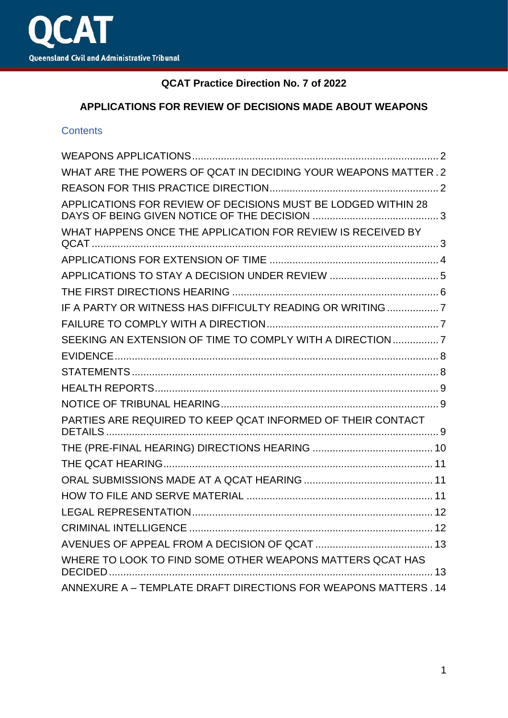

## **QCAT Practice Direction No. 7 of 2022**

## **APPLICATIONS FOR REVIEW OF DECISIONS MADE ABOUT WEAPONS**

#### **Contents**

| WHAT ARE THE POWERS OF QCAT IN DECIDING YOUR WEAPONS MATTER. 2 |  |
|----------------------------------------------------------------|--|
|                                                                |  |
| APPLICATIONS FOR REVIEW OF DECISIONS MUST BE LODGED WITHIN 28  |  |
| WHAT HAPPENS ONCE THE APPLICATION FOR REVIEW IS RECEIVED BY    |  |
|                                                                |  |
|                                                                |  |
|                                                                |  |
| IF A PARTY OR WITNESS HAS DIFFICULTY READING OR WRITING 7      |  |
|                                                                |  |
| SEEKING AN EXTENSION OF TIME TO COMPLY WITH A DIRECTION  7     |  |
|                                                                |  |
|                                                                |  |
|                                                                |  |
|                                                                |  |
| PARTIES ARE REQUIRED TO KEEP QCAT INFORMED OF THEIR CONTACT    |  |
|                                                                |  |
|                                                                |  |
|                                                                |  |
|                                                                |  |
|                                                                |  |
|                                                                |  |
|                                                                |  |
| WHERE TO LOOK TO FIND SOME OTHER WEAPONS MATTERS QCAT HAS      |  |
| ANNEXURE A - TEMPLATE DRAFT DIRECTIONS FOR WEAPONS MATTERS. 14 |  |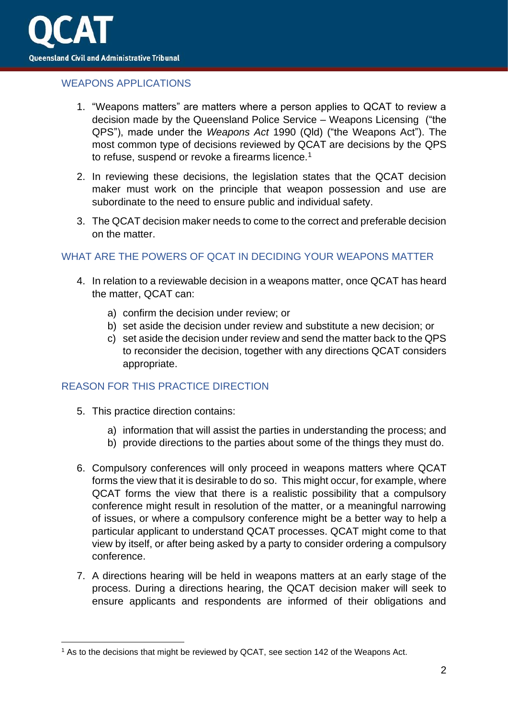

## <span id="page-1-0"></span>WEAPONS APPLICATIONS

- 1. "Weapons matters" are matters where a person applies to QCAT to review a decision made by the Queensland Police Service – Weapons Licensing ("the QPS"), made under the *Weapons Act* 1990 (Qld) ("the Weapons Act"). The most common type of decisions reviewed by QCAT are decisions by the QPS to refuse, suspend or revoke a firearms licence.<sup>1</sup>
- 2. In reviewing these decisions, the legislation states that the QCAT decision maker must work on the principle that weapon possession and use are subordinate to the need to ensure public and individual safety.
- 3. The QCAT decision maker needs to come to the correct and preferable decision on the matter.

## <span id="page-1-1"></span>WHAT ARE THE POWERS OF QCAT IN DECIDING YOUR WEAPONS MATTER

- 4. In relation to a reviewable decision in a weapons matter, once QCAT has heard the matter, QCAT can:
	- a) confirm the decision under review; or
	- b) set aside the decision under review and substitute a new decision; or
	- c) set aside the decision under review and send the matter back to the QPS to reconsider the decision, together with any directions QCAT considers appropriate.

#### <span id="page-1-2"></span>REASON FOR THIS PRACTICE DIRECTION

- 5. This practice direction contains:
	- a) information that will assist the parties in understanding the process; and
	- b) provide directions to the parties about some of the things they must do.
- 6. Compulsory conferences will only proceed in weapons matters where QCAT forms the view that it is desirable to do so. This might occur, for example, where QCAT forms the view that there is a realistic possibility that a compulsory conference might result in resolution of the matter, or a meaningful narrowing of issues, or where a compulsory conference might be a better way to help a particular applicant to understand QCAT processes. QCAT might come to that view by itself, or after being asked by a party to consider ordering a compulsory conference.
- 7. A directions hearing will be held in weapons matters at an early stage of the process. During a directions hearing, the QCAT decision maker will seek to ensure applicants and respondents are informed of their obligations and

<sup>&</sup>lt;sup>1</sup> As to the decisions that might be reviewed by QCAT, see section 142 of the Weapons Act.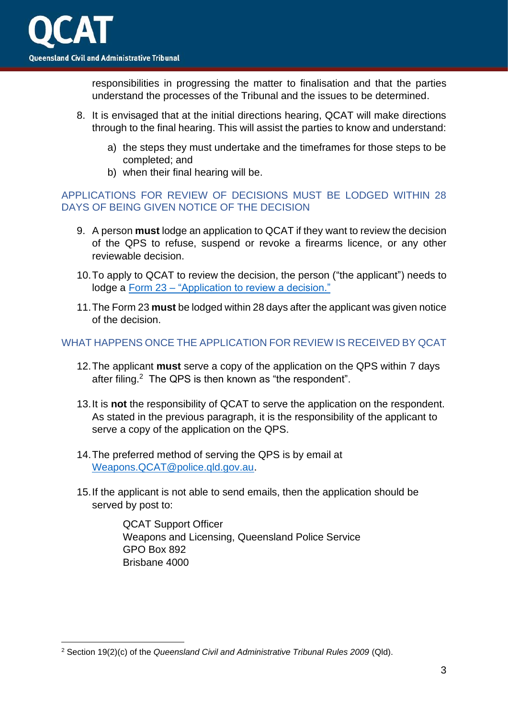responsibilities in progressing the matter to finalisation and that the parties understand the processes of the Tribunal and the issues to be determined.

- 8. It is envisaged that at the initial directions hearing, QCAT will make directions through to the final hearing. This will assist the parties to know and understand:
	- a) the steps they must undertake and the timeframes for those steps to be completed; and
	- b) when their final hearing will be.

## <span id="page-2-0"></span>APPLICATIONS FOR REVIEW OF DECISIONS MUST BE LODGED WITHIN 28 DAYS OF BEING GIVEN NOTICE OF THE DECISION

- 9. A person **must** lodge an application to QCAT if they want to review the decision of the QPS to refuse, suspend or revoke a firearms licence, or any other reviewable decision.
- 10.To apply to QCAT to review the decision, the person ("the applicant") needs to lodge a Form 23 – ["Application to review a decision."](https://www.qcat.qld.gov.au/__data/assets/pdf_file/0008/101006/form-23-app-review-decision.pdf)
- 11.The Form 23 **must** be lodged within 28 days after the applicant was given notice of the decision.

## <span id="page-2-1"></span>WHAT HAPPENS ONCE THE APPLICATION FOR REVIEW IS RECEIVED BY QCAT

- 12.The applicant **must** serve a copy of the application on the QPS within 7 days after filing.<sup>2</sup> The QPS is then known as "the respondent".
- 13.It is **not** the responsibility of QCAT to serve the application on the respondent. As stated in the previous paragraph, it is the responsibility of the applicant to serve a copy of the application on the QPS.
- 14.The preferred method of serving the QPS is by email at [Weapons.QCAT@police.qld.gov.au.](mailto:Weapons.QCAT@police.qld.gov.au)
- 15.If the applicant is not able to send emails, then the application should be served by post to:

QCAT Support Officer Weapons and Licensing, Queensland Police Service GPO Box 892 Brisbane 4000

<sup>2</sup> Section 19(2)(c) of the *Queensland Civil and Administrative Tribunal Rules 2009* (Qld).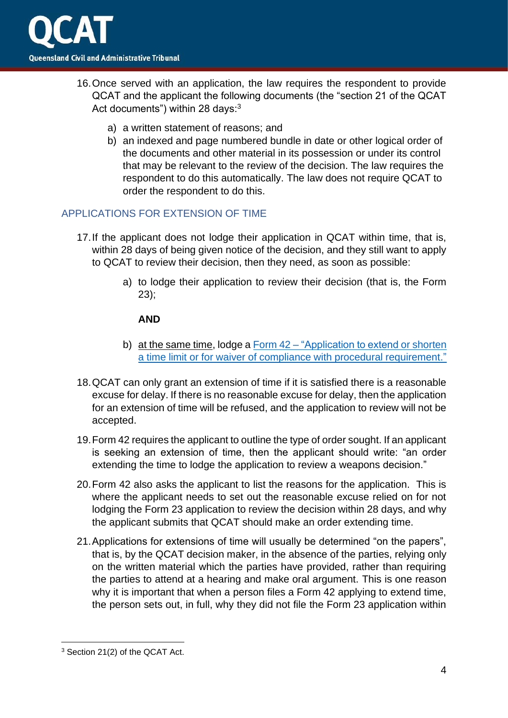

- 16.Once served with an application, the law requires the respondent to provide QCAT and the applicant the following documents (the "section 21 of the QCAT Act documents") within 28 days:<sup>3</sup>
	- a) a written statement of reasons; and
	- b) an indexed and page numbered bundle in date or other logical order of the documents and other material in its possession or under its control that may be relevant to the review of the decision. The law requires the respondent to do this automatically. The law does not require QCAT to order the respondent to do this.

#### <span id="page-3-0"></span>APPLICATIONS FOR EXTENSION OF TIME

- 17.If the applicant does not lodge their application in QCAT within time, that is, within 28 days of being given notice of the decision, and they still want to apply to QCAT to review their decision, then they need, as soon as possible:
	- a) to lodge their application to review their decision (that is, the Form 23);

#### **AND**

- b) at the same time, lodge a Form  $42 -$  "Application to extend or shorten a time limit [or for waiver of compliance with procedural requirement."](https://www.qcat.qld.gov.au/__data/assets/pdf_file/0019/101089/form-42-app-extend-shorten-time-limit.pdf)
- 18.QCAT can only grant an extension of time if it is satisfied there is a reasonable excuse for delay. If there is no reasonable excuse for delay, then the application for an extension of time will be refused, and the application to review will not be accepted.
- 19.Form 42 requires the applicant to outline the type of order sought. If an applicant is seeking an extension of time, then the applicant should write: "an order extending the time to lodge the application to review a weapons decision."
- 20.Form 42 also asks the applicant to list the reasons for the application. This is where the applicant needs to set out the reasonable excuse relied on for not lodging the Form 23 application to review the decision within 28 days, and why the applicant submits that QCAT should make an order extending time.
- 21.Applications for extensions of time will usually be determined "on the papers", that is, by the QCAT decision maker, in the absence of the parties, relying only on the written material which the parties have provided, rather than requiring the parties to attend at a hearing and make oral argument. This is one reason why it is important that when a person files a Form 42 applying to extend time, the person sets out, in full, why they did not file the Form 23 application within

<sup>3</sup> Section 21(2) of the QCAT Act.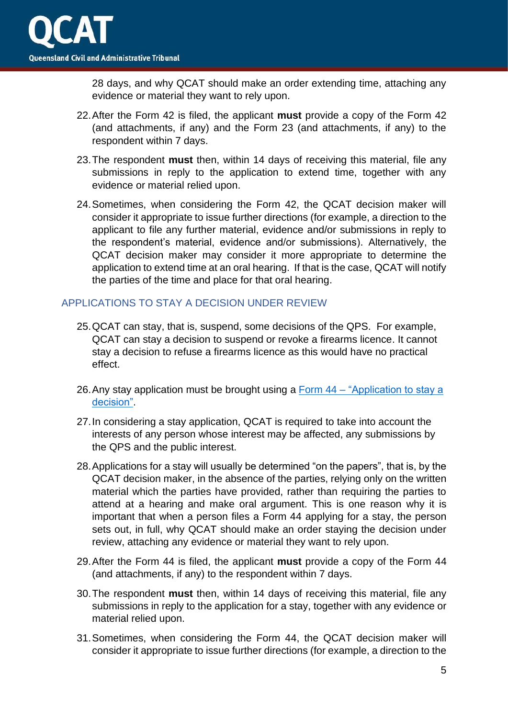

28 days, and why QCAT should make an order extending time, attaching any evidence or material they want to rely upon.

- 22.After the Form 42 is filed, the applicant **must** provide a copy of the Form 42 (and attachments, if any) and the Form 23 (and attachments, if any) to the respondent within 7 days.
- 23.The respondent **must** then, within 14 days of receiving this material, file any submissions in reply to the application to extend time, together with any evidence or material relied upon.
- 24.Sometimes, when considering the Form 42, the QCAT decision maker will consider it appropriate to issue further directions (for example, a direction to the applicant to file any further material, evidence and/or submissions in reply to the respondent's material, evidence and/or submissions). Alternatively, the QCAT decision maker may consider it more appropriate to determine the application to extend time at an oral hearing. If that is the case, QCAT will notify the parties of the time and place for that oral hearing.

## <span id="page-4-0"></span>APPLICATIONS TO STAY A DECISION UNDER REVIEW

- 25.QCAT can stay, that is, suspend, some decisions of the QPS. For example, QCAT can stay a decision to suspend or revoke a firearms licence. It cannot stay a decision to refuse a firearms licence as this would have no practical effect.
- 26.Any stay application must be brought using a Form 44 ["Application to stay a](https://www.qcat.qld.gov.au/__data/assets/pdf_file/0012/101091/form-44-app-to-stay-a-decision.pdf)  [decision".](https://www.qcat.qld.gov.au/__data/assets/pdf_file/0012/101091/form-44-app-to-stay-a-decision.pdf)
- 27.In considering a stay application, QCAT is required to take into account the interests of any person whose interest may be affected, any submissions by the QPS and the public interest.
- 28.Applications for a stay will usually be determined "on the papers", that is, by the QCAT decision maker, in the absence of the parties, relying only on the written material which the parties have provided, rather than requiring the parties to attend at a hearing and make oral argument. This is one reason why it is important that when a person files a Form 44 applying for a stay, the person sets out, in full, why QCAT should make an order staying the decision under review, attaching any evidence or material they want to rely upon.
- 29.After the Form 44 is filed, the applicant **must** provide a copy of the Form 44 (and attachments, if any) to the respondent within 7 days.
- 30.The respondent **must** then, within 14 days of receiving this material, file any submissions in reply to the application for a stay, together with any evidence or material relied upon.
- 31.Sometimes, when considering the Form 44, the QCAT decision maker will consider it appropriate to issue further directions (for example, a direction to the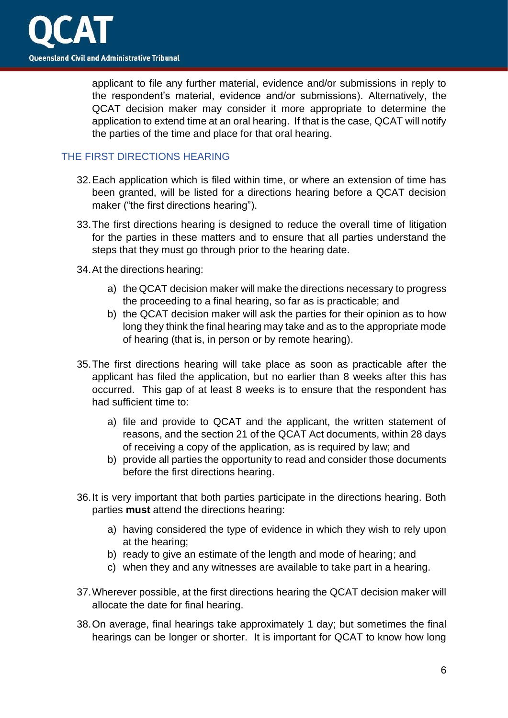applicant to file any further material, evidence and/or submissions in reply to the respondent's material, evidence and/or submissions). Alternatively, the QCAT decision maker may consider it more appropriate to determine the application to extend time at an oral hearing. If that is the case, QCAT will notify the parties of the time and place for that oral hearing.

# <span id="page-5-0"></span>THE FIRST DIRECTIONS HEARING

- 32.Each application which is filed within time, or where an extension of time has been granted, will be listed for a directions hearing before a QCAT decision maker ("the first directions hearing").
- 33.The first directions hearing is designed to reduce the overall time of litigation for the parties in these matters and to ensure that all parties understand the steps that they must go through prior to the hearing date.
- 34.At the directions hearing:
	- a) the QCAT decision maker will make the directions necessary to progress the proceeding to a final hearing, so far as is practicable; and
	- b) the QCAT decision maker will ask the parties for their opinion as to how long they think the final hearing may take and as to the appropriate mode of hearing (that is, in person or by remote hearing).
- 35.The first directions hearing will take place as soon as practicable after the applicant has filed the application, but no earlier than 8 weeks after this has occurred. This gap of at least 8 weeks is to ensure that the respondent has had sufficient time to:
	- a) file and provide to QCAT and the applicant, the written statement of reasons, and the section 21 of the QCAT Act documents, within 28 days of receiving a copy of the application, as is required by law; and
	- b) provide all parties the opportunity to read and consider those documents before the first directions hearing.
- 36.It is very important that both parties participate in the directions hearing. Both parties **must** attend the directions hearing:
	- a) having considered the type of evidence in which they wish to rely upon at the hearing;
	- b) ready to give an estimate of the length and mode of hearing; and
	- c) when they and any witnesses are available to take part in a hearing.
- 37.Wherever possible, at the first directions hearing the QCAT decision maker will allocate the date for final hearing.
- 38.On average, final hearings take approximately 1 day; but sometimes the final hearings can be longer or shorter. It is important for QCAT to know how long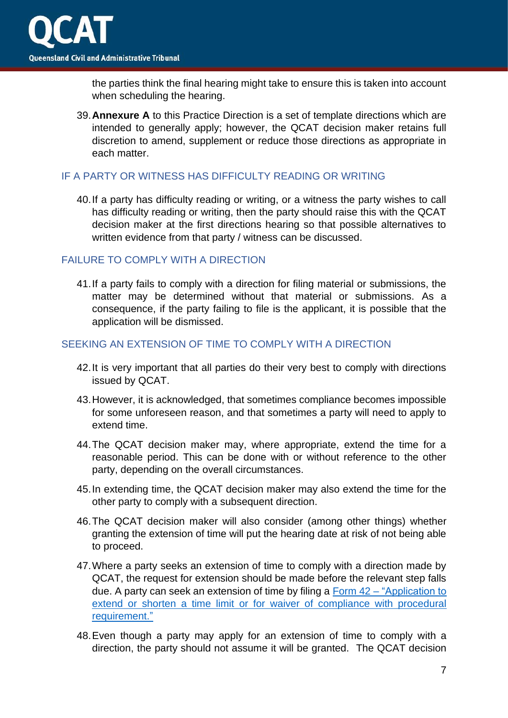

the parties think the final hearing might take to ensure this is taken into account when scheduling the hearing.

39.**Annexure A** to this Practice Direction is a set of template directions which are intended to generally apply; however, the QCAT decision maker retains full discretion to amend, supplement or reduce those directions as appropriate in each matter.

#### <span id="page-6-0"></span>IF A PARTY OR WITNESS HAS DIFFICULTY READING OR WRITING

40.If a party has difficulty reading or writing, or a witness the party wishes to call has difficulty reading or writing, then the party should raise this with the QCAT decision maker at the first directions hearing so that possible alternatives to written evidence from that party / witness can be discussed.

## <span id="page-6-1"></span>FAILURE TO COMPLY WITH A DIRECTION

41.If a party fails to comply with a direction for filing material or submissions, the matter may be determined without that material or submissions. As a consequence, if the party failing to file is the applicant, it is possible that the application will be dismissed.

#### <span id="page-6-2"></span>SEEKING AN EXTENSION OF TIME TO COMPLY WITH A DIRECTION

- 42.It is very important that all parties do their very best to comply with directions issued by QCAT.
- 43.However, it is acknowledged, that sometimes compliance becomes impossible for some unforeseen reason, and that sometimes a party will need to apply to extend time.
- 44.The QCAT decision maker may, where appropriate, extend the time for a reasonable period. This can be done with or without reference to the other party, depending on the overall circumstances.
- 45.In extending time, the QCAT decision maker may also extend the time for the other party to comply with a subsequent direction.
- 46.The QCAT decision maker will also consider (among other things) whether granting the extension of time will put the hearing date at risk of not being able to proceed.
- 47.Where a party seeks an extension of time to comply with a direction made by QCAT, the request for extension should be made before the relevant step falls due. A party can seek an extension of time by filing a Form 42 – ["Application to](https://www.qcat.qld.gov.au/__data/assets/pdf_file/0019/101089/form-42-app-extend-shorten-time-limit.pdf)  extend or shorten a time limit [or for waiver of compliance with procedural](https://www.qcat.qld.gov.au/__data/assets/pdf_file/0019/101089/form-42-app-extend-shorten-time-limit.pdf)  [requirement."](https://www.qcat.qld.gov.au/__data/assets/pdf_file/0019/101089/form-42-app-extend-shorten-time-limit.pdf)
- 48.Even though a party may apply for an extension of time to comply with a direction, the party should not assume it will be granted. The QCAT decision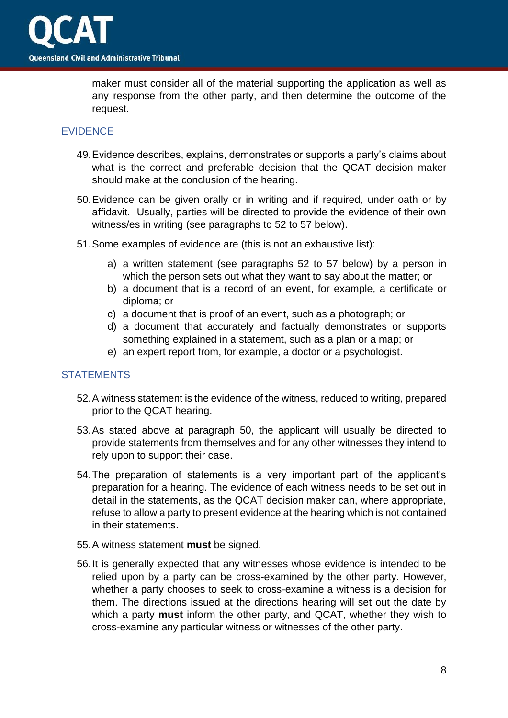

maker must consider all of the material supporting the application as well as any response from the other party, and then determine the outcome of the request.

#### <span id="page-7-0"></span>EVIDENCE

- 49.Evidence describes, explains, demonstrates or supports a party's claims about what is the correct and preferable decision that the QCAT decision maker should make at the conclusion of the hearing.
- 50.Evidence can be given orally or in writing and if required, under oath or by affidavit. Usually, parties will be directed to provide the evidence of their own witness/es in writing (see paragraphs to 52 to 57 below).
- 51.Some examples of evidence are (this is not an exhaustive list):
	- a) a written statement (see paragraphs 52 to 57 below) by a person in which the person sets out what they want to say about the matter; or
	- b) a document that is a record of an event, for example, a certificate or diploma; or
	- c) a document that is proof of an event, such as a photograph; or
	- d) a document that accurately and factually demonstrates or supports something explained in a statement, such as a plan or a map; or
	- e) an expert report from, for example, a doctor or a psychologist.

#### <span id="page-7-1"></span>**STATEMENTS**

- 52.A witness statement is the evidence of the witness, reduced to writing, prepared prior to the QCAT hearing.
- 53.As stated above at paragraph 50, the applicant will usually be directed to provide statements from themselves and for any other witnesses they intend to rely upon to support their case.
- 54.The preparation of statements is a very important part of the applicant's preparation for a hearing. The evidence of each witness needs to be set out in detail in the statements, as the QCAT decision maker can, where appropriate, refuse to allow a party to present evidence at the hearing which is not contained in their statements.
- 55.A witness statement **must** be signed.
- 56.It is generally expected that any witnesses whose evidence is intended to be relied upon by a party can be cross-examined by the other party. However, whether a party chooses to seek to cross-examine a witness is a decision for them. The directions issued at the directions hearing will set out the date by which a party **must** inform the other party, and QCAT, whether they wish to cross-examine any particular witness or witnesses of the other party.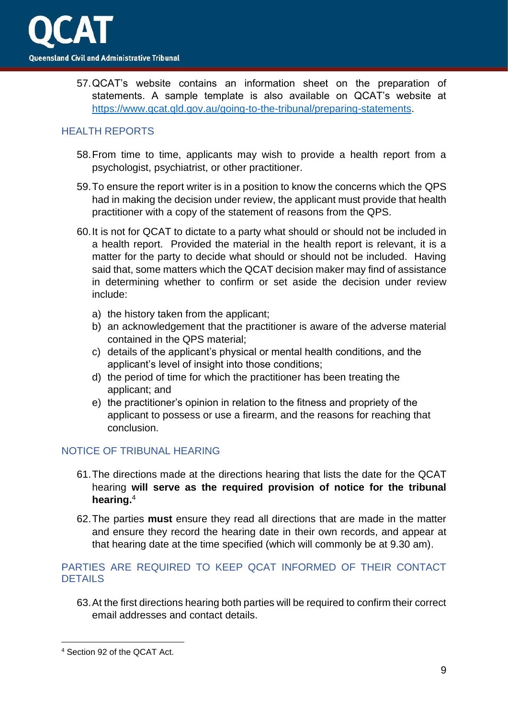57.QCAT's website contains an information sheet on the preparation of statements. A sample template is also available on QCAT's website at [https://www.qcat.qld.gov.au/going-to-the-tribunal/preparing-statements.](https://www.qcat.qld.gov.au/going-to-the-tribunal/preparing-statements)

## <span id="page-8-0"></span>HEALTH REPORTS

- 58.From time to time, applicants may wish to provide a health report from a psychologist, psychiatrist, or other practitioner.
- 59.To ensure the report writer is in a position to know the concerns which the QPS had in making the decision under review, the applicant must provide that health practitioner with a copy of the statement of reasons from the QPS.
- 60.It is not for QCAT to dictate to a party what should or should not be included in a health report. Provided the material in the health report is relevant, it is a matter for the party to decide what should or should not be included. Having said that, some matters which the QCAT decision maker may find of assistance in determining whether to confirm or set aside the decision under review include:
	- a) the history taken from the applicant;
	- b) an acknowledgement that the practitioner is aware of the adverse material contained in the QPS material;
	- c) details of the applicant's physical or mental health conditions, and the applicant's level of insight into those conditions;
	- d) the period of time for which the practitioner has been treating the applicant; and
	- e) the practitioner's opinion in relation to the fitness and propriety of the applicant to possess or use a firearm, and the reasons for reaching that conclusion.

## <span id="page-8-1"></span>NOTICE OF TRIBUNAL HEARING

- 61.The directions made at the directions hearing that lists the date for the QCAT hearing **will serve as the required provision of notice for the tribunal hearing.** 4
- 62.The parties **must** ensure they read all directions that are made in the matter and ensure they record the hearing date in their own records, and appear at that hearing date at the time specified (which will commonly be at 9.30 am).

## <span id="page-8-2"></span>PARTIES ARE REQUIRED TO KEEP QCAT INFORMED OF THEIR CONTACT **DETAILS**

63.At the first directions hearing both parties will be required to confirm their correct email addresses and contact details.

<sup>4</sup> Section 92 of the QCAT Act.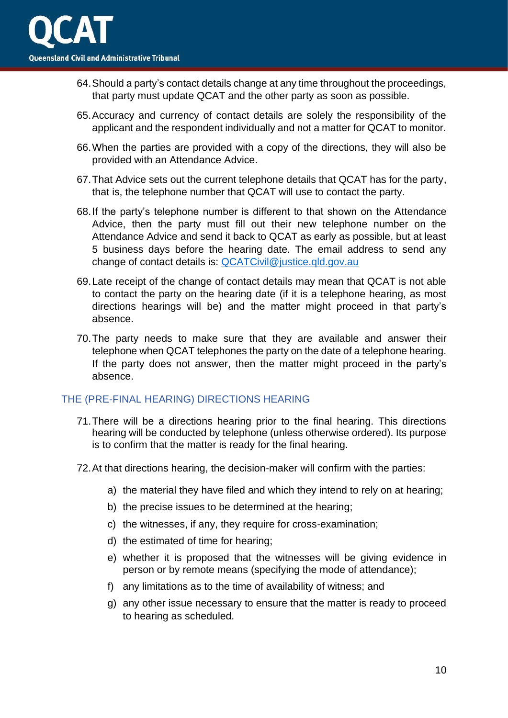- 64.Should a party's contact details change at any time throughout the proceedings, that party must update QCAT and the other party as soon as possible.
- 65.Accuracy and currency of contact details are solely the responsibility of the applicant and the respondent individually and not a matter for QCAT to monitor.
- 66.When the parties are provided with a copy of the directions, they will also be provided with an Attendance Advice.
- 67.That Advice sets out the current telephone details that QCAT has for the party, that is, the telephone number that QCAT will use to contact the party.
- 68.If the party's telephone number is different to that shown on the Attendance Advice, then the party must fill out their new telephone number on the Attendance Advice and send it back to QCAT as early as possible, but at least 5 business days before the hearing date. The email address to send any change of contact details is: [QCATCivil@justice.qld.gov.au](mailto:QCATCivil@justice.qld.gov.au)
- 69.Late receipt of the change of contact details may mean that QCAT is not able to contact the party on the hearing date (if it is a telephone hearing, as most directions hearings will be) and the matter might proceed in that party's absence.
- 70.The party needs to make sure that they are available and answer their telephone when QCAT telephones the party on the date of a telephone hearing. If the party does not answer, then the matter might proceed in the party's absence.

## <span id="page-9-0"></span>THE (PRE-FINAL HEARING) DIRECTIONS HEARING

- 71.There will be a directions hearing prior to the final hearing. This directions hearing will be conducted by telephone (unless otherwise ordered). Its purpose is to confirm that the matter is ready for the final hearing.
- 72.At that directions hearing, the decision-maker will confirm with the parties:
	- a) the material they have filed and which they intend to rely on at hearing;
	- b) the precise issues to be determined at the hearing;
	- c) the witnesses, if any, they require for cross-examination;
	- d) the estimated of time for hearing;
	- e) whether it is proposed that the witnesses will be giving evidence in person or by remote means (specifying the mode of attendance);
	- f) any limitations as to the time of availability of witness; and
	- g) any other issue necessary to ensure that the matter is ready to proceed to hearing as scheduled.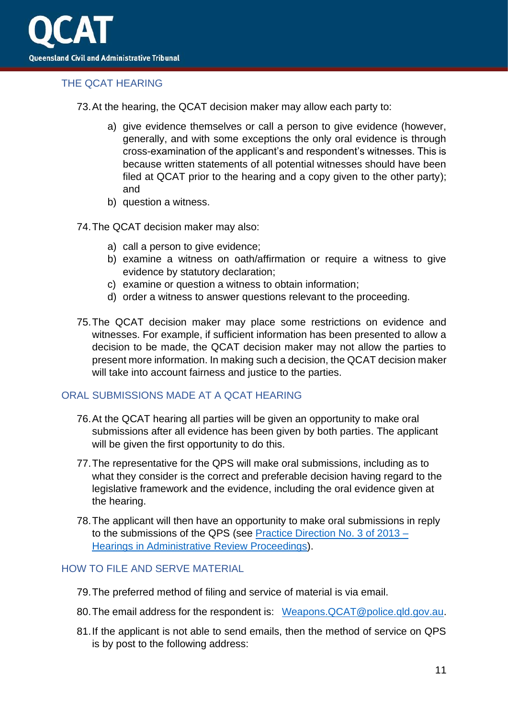

## <span id="page-10-0"></span>THE QCAT HEARING

73.At the hearing, the QCAT decision maker may allow each party to:

- a) give evidence themselves or call a person to give evidence (however, generally, and with some exceptions the only oral evidence is through cross-examination of the applicant's and respondent's witnesses. This is because written statements of all potential witnesses should have been filed at QCAT prior to the hearing and a copy given to the other party); and
- b) question a witness.
- 74.The QCAT decision maker may also:
	- a) call a person to give evidence;
	- b) examine a witness on oath/affirmation or require a witness to give evidence by statutory declaration;
	- c) examine or question a witness to obtain information;
	- d) order a witness to answer questions relevant to the proceeding.
- 75.The QCAT decision maker may place some restrictions on evidence and witnesses. For example, if sufficient information has been presented to allow a decision to be made, the QCAT decision maker may not allow the parties to present more information. In making such a decision, the QCAT decision maker will take into account fairness and justice to the parties.

#### <span id="page-10-1"></span>ORAL SUBMISSIONS MADE AT A QCAT HEARING

- 76.At the QCAT hearing all parties will be given an opportunity to make oral submissions after all evidence has been given by both parties. The applicant will be given the first opportunity to do this.
- 77.The representative for the QPS will make oral submissions, including as to what they consider is the correct and preferable decision having regard to the legislative framework and the evidence, including the oral evidence given at the hearing.
- 78.The applicant will then have an opportunity to make oral submissions in reply to the submissions of the QPS (see [Practice Direction No. 3 of 2013 –](https://www.qcat.qld.gov.au/__data/assets/pdf_file/0011/182099/Practice-Direction-3-of-2013-updated-180219.pdf) [Hearings in Administrative Review Proceedings\)](https://www.qcat.qld.gov.au/__data/assets/pdf_file/0011/182099/Practice-Direction-3-of-2013-updated-180219.pdf).

#### <span id="page-10-2"></span>HOW TO FILE AND SERVE MATERIAL

- 79.The preferred method of filing and service of material is via email.
- 80. The email address for the respondent is: Weapons. QCAT@police.gld.gov.au.
- 81.If the applicant is not able to send emails, then the method of service on QPS is by post to the following address: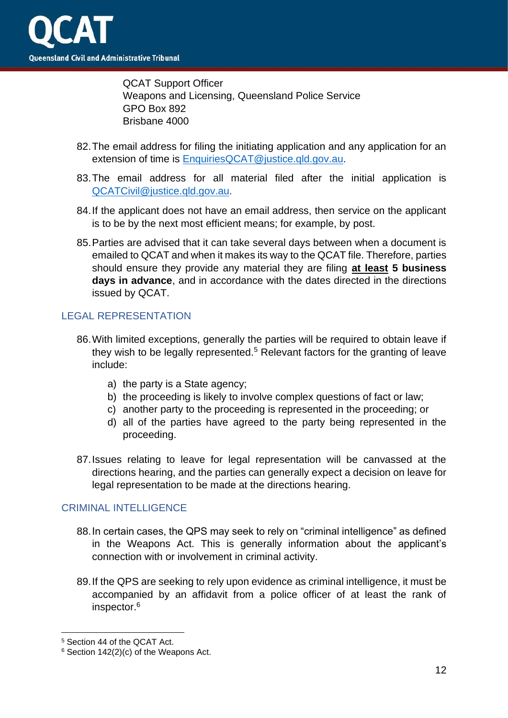

QCAT Support Officer Weapons and Licensing, Queensland Police Service GPO Box 892 Brisbane 4000

- 82.The email address for filing the initiating application and any application for an extension of time is [EnquiriesQCAT@justice.qld.gov.au.](mailto:EnquiriesQCAT@justice.qld.gov.au)
- 83.The email address for all material filed after the initial application is [QCATCivil@justice.qld.gov.au](mailto:QCATCivil@justice.qld.gov.au).
- 84.If the applicant does not have an email address, then service on the applicant is to be by the next most efficient means; for example, by post.
- 85.Parties are advised that it can take several days between when a document is emailed to QCAT and when it makes its way to the QCAT file. Therefore, parties should ensure they provide any material they are filing **at least 5 business days in advance**, and in accordance with the dates directed in the directions issued by QCAT.

## <span id="page-11-0"></span>LEGAL REPRESENTATION

- 86.With limited exceptions, generally the parties will be required to obtain leave if they wish to be legally represented.<sup>5</sup> Relevant factors for the granting of leave include:
	- a) the party is a State agency;
	- b) the proceeding is likely to involve complex questions of fact or law;
	- c) another party to the proceeding is represented in the proceeding; or
	- d) all of the parties have agreed to the party being represented in the proceeding.
- 87.Issues relating to leave for legal representation will be canvassed at the directions hearing, and the parties can generally expect a decision on leave for legal representation to be made at the directions hearing.

#### <span id="page-11-1"></span>CRIMINAL INTELLIGENCE

- 88.In certain cases, the QPS may seek to rely on "criminal intelligence" as defined in the Weapons Act. This is generally information about the applicant's connection with or involvement in criminal activity.
- 89.If the QPS are seeking to rely upon evidence as criminal intelligence, it must be accompanied by an affidavit from a police officer of at least the rank of inspector.<sup>6</sup>

<sup>5</sup> Section 44 of the QCAT Act.

<sup>6</sup> Section 142(2)(c) of the Weapons Act.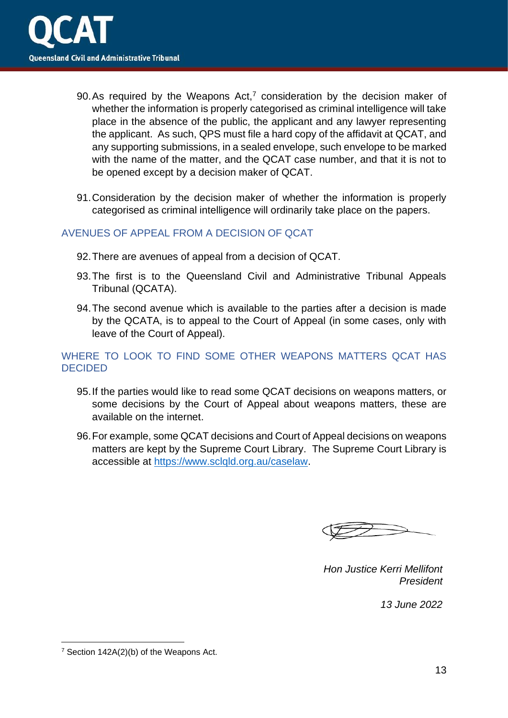

- 90. As required by the Weapons Act, $<sup>7</sup>$  consideration by the decision maker of</sup> whether the information is properly categorised as criminal intelligence will take place in the absence of the public, the applicant and any lawyer representing the applicant. As such, QPS must file a hard copy of the affidavit at QCAT, and any supporting submissions, in a sealed envelope, such envelope to be marked with the name of the matter, and the QCAT case number, and that it is not to be opened except by a decision maker of QCAT.
- 91.Consideration by the decision maker of whether the information is properly categorised as criminal intelligence will ordinarily take place on the papers.

## <span id="page-12-0"></span>AVENUES OF APPEAL FROM A DECISION OF QCAT

- 92.There are avenues of appeal from a decision of QCAT.
- 93.The first is to the Queensland Civil and Administrative Tribunal Appeals Tribunal (QCATA).
- 94.The second avenue which is available to the parties after a decision is made by the QCATA, is to appeal to the Court of Appeal (in some cases, only with leave of the Court of Appeal).

## <span id="page-12-1"></span>WHERE TO LOOK TO FIND SOME OTHER WEAPONS MATTERS QCAT HAS **DECIDED**

- 95.If the parties would like to read some QCAT decisions on weapons matters, or some decisions by the Court of Appeal about weapons matters, these are available on the internet.
- 96.For example, some QCAT decisions and Court of Appeal decisions on weapons matters are kept by the Supreme Court Library. The Supreme Court Library is accessible at [https://www.sclqld.org.au/caselaw.](https://www.sclqld.org.au/caselaw)

*Hon Justice Kerri Mellifont President*

*13 June 2022*

<sup>7</sup> Section 142A(2)(b) of the Weapons Act.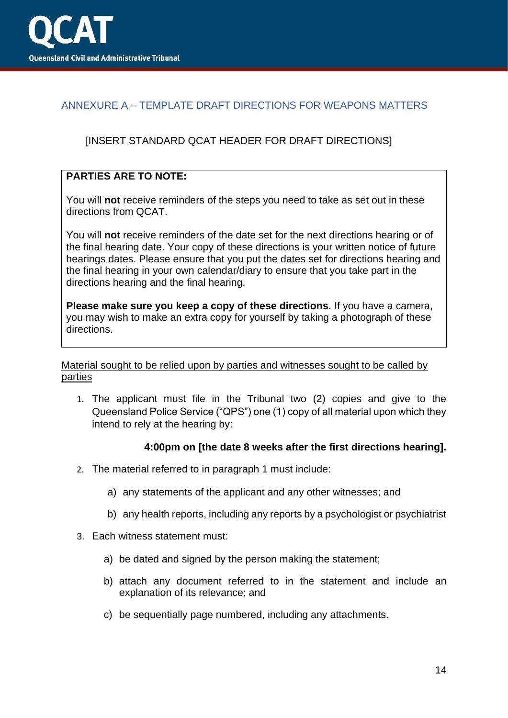

## <span id="page-13-0"></span>ANNEXURE A – TEMPLATE DRAFT DIRECTIONS FOR WEAPONS MATTERS

## [INSERT STANDARD QCAT HEADER FOR DRAFT DIRECTIONS]

## **PARTIES ARE TO NOTE:**

You will **not** receive reminders of the steps you need to take as set out in these directions from QCAT.

You will **not** receive reminders of the date set for the next directions hearing or of the final hearing date. Your copy of these directions is your written notice of future hearings dates. Please ensure that you put the dates set for directions hearing and the final hearing in your own calendar/diary to ensure that you take part in the directions hearing and the final hearing.

**Please make sure you keep a copy of these directions.** If you have a camera, you may wish to make an extra copy for yourself by taking a photograph of these directions.

#### Material sought to be relied upon by parties and witnesses sought to be called by parties

1. The applicant must file in the Tribunal two (2) copies and give to the Queensland Police Service ("QPS") one (1) copy of all material upon which they intend to rely at the hearing by:

#### **4:00pm on [the date 8 weeks after the first directions hearing].**

- 2. The material referred to in paragraph 1 must include:
	- a) any statements of the applicant and any other witnesses; and
	- b) any health reports, including any reports by a psychologist or psychiatrist
- 3. Each witness statement must:
	- a) be dated and signed by the person making the statement;
	- b) attach any document referred to in the statement and include an explanation of its relevance; and
	- c) be sequentially page numbered, including any attachments.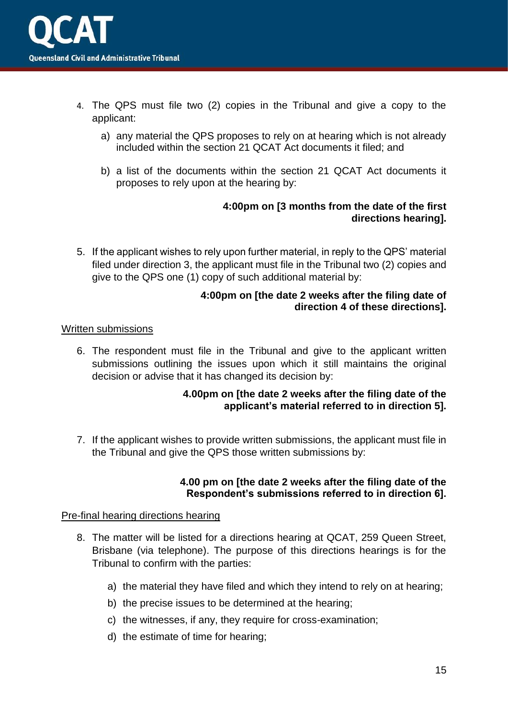- 4. The QPS must file two (2) copies in the Tribunal and give a copy to the applicant:
	- a) any material the QPS proposes to rely on at hearing which is not already included within the section 21 QCAT Act documents it filed; and
	- b) a list of the documents within the section 21 QCAT Act documents it proposes to rely upon at the hearing by:

## **4:00pm on [3 months from the date of the first directions hearing].**

5. If the applicant wishes to rely upon further material, in reply to the QPS' material filed under direction 3, the applicant must file in the Tribunal two (2) copies and give to the QPS one (1) copy of such additional material by:

## **4:00pm on [the date 2 weeks after the filing date of direction 4 of these directions].**

## Written submissions

6. The respondent must file in the Tribunal and give to the applicant written submissions outlining the issues upon which it still maintains the original decision or advise that it has changed its decision by:

## **4.00pm on [the date 2 weeks after the filing date of the applicant's material referred to in direction 5].**

7. If the applicant wishes to provide written submissions, the applicant must file in the Tribunal and give the QPS those written submissions by:

## **4.00 pm on [the date 2 weeks after the filing date of the Respondent's submissions referred to in direction 6].**

#### Pre-final hearing directions hearing

- 8. The matter will be listed for a directions hearing at QCAT, 259 Queen Street, Brisbane (via telephone). The purpose of this directions hearings is for the Tribunal to confirm with the parties:
	- a) the material they have filed and which they intend to rely on at hearing;
	- b) the precise issues to be determined at the hearing;
	- c) the witnesses, if any, they require for cross-examination;
	- d) the estimate of time for hearing;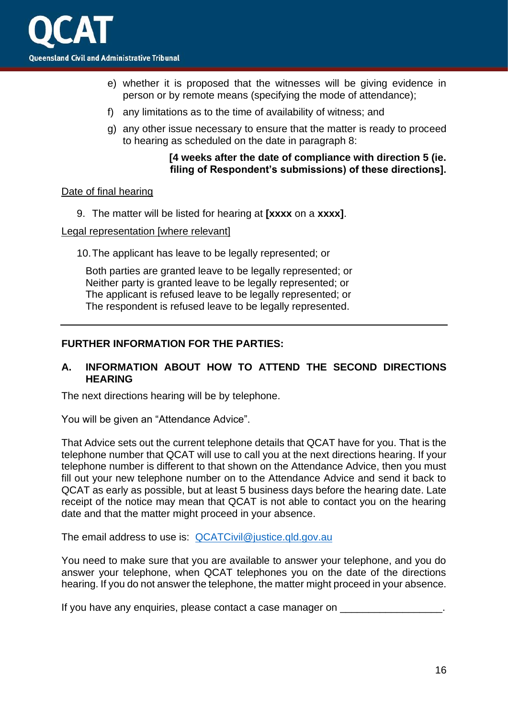- e) whether it is proposed that the witnesses will be giving evidence in person or by remote means (specifying the mode of attendance);
- f) any limitations as to the time of availability of witness; and
- g) any other issue necessary to ensure that the matter is ready to proceed to hearing as scheduled on the date in paragraph 8:

#### **[4 weeks after the date of compliance with direction 5 (ie. filing of Respondent's submissions) of these directions].**

## Date of final hearing

9. The matter will be listed for hearing at **[xxxx** on a **xxxx]**.

#### Legal representation [where relevant]

10.The applicant has leave to be legally represented; or

Both parties are granted leave to be legally represented; or Neither party is granted leave to be legally represented; or The applicant is refused leave to be legally represented; or The respondent is refused leave to be legally represented.

## **FURTHER INFORMATION FOR THE PARTIES:**

## **A. INFORMATION ABOUT HOW TO ATTEND THE SECOND DIRECTIONS HEARING**

The next directions hearing will be by telephone.

You will be given an "Attendance Advice".

That Advice sets out the current telephone details that QCAT have for you. That is the telephone number that QCAT will use to call you at the next directions hearing. If your telephone number is different to that shown on the Attendance Advice, then you must fill out your new telephone number on to the Attendance Advice and send it back to QCAT as early as possible, but at least 5 business days before the hearing date. Late receipt of the notice may mean that QCAT is not able to contact you on the hearing date and that the matter might proceed in your absence.

The email address to use is: [QCATCivil@justice.qld.gov.au](mailto:QCATCivil@justice.qld.gov.au)

You need to make sure that you are available to answer your telephone, and you do answer your telephone, when QCAT telephones you on the date of the directions hearing. If you do not answer the telephone, the matter might proceed in your absence.

If you have any enquiries, please contact a case manager on